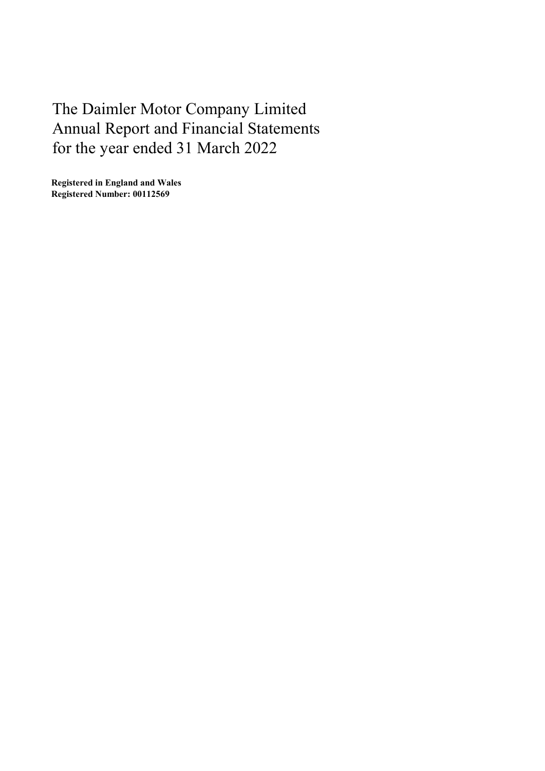Registered in England and Wales Registered Number: 00112569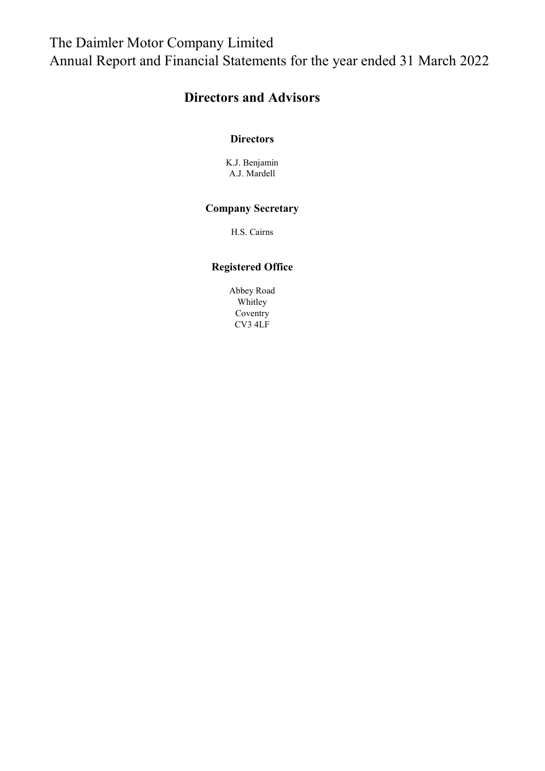## Directors and Advisors

#### **Directors**

K.J. Benjamin A.J. Mardell

### Company Secretary

H.S. Cairns

### Registered Office

Abbey Road Whitley Coventry CV3 4LF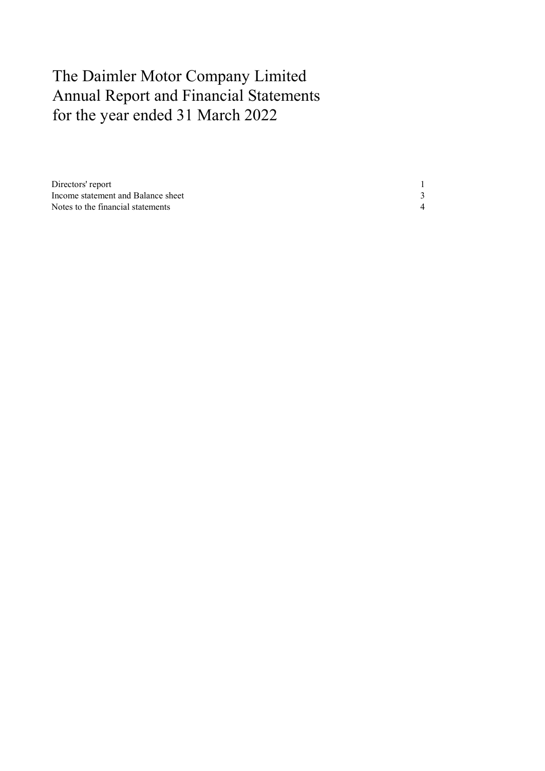| Directors' report                  |  |
|------------------------------------|--|
| Income statement and Balance sheet |  |
| Notes to the financial statements  |  |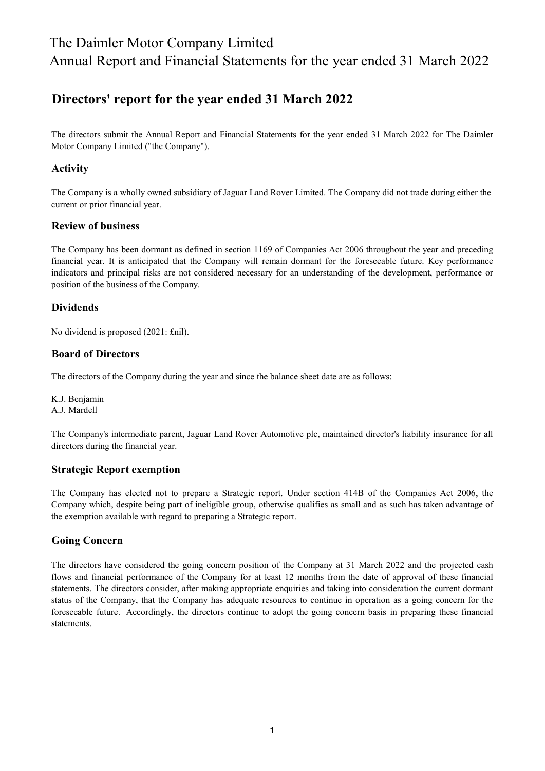### Directors' report for the year ended 31 March 2022

The directors submit the Annual Report and Financial Statements for the year ended 31 March 2022 for The Daimler Motor Company Limited ("the Company").

#### Activity

The Company is a wholly owned subsidiary of Jaguar Land Rover Limited. The Company did not trade during either the current or prior financial year.

#### Review of business

The Company has been dormant as defined in section 1169 of Companies Act 2006 throughout the year and preceding financial year. It is anticipated that the Company will remain dormant for the foreseeable future. Key performance indicators and principal risks are not considered necessary for an understanding of the development, performance or position of the business of the Company.

#### Dividends

No dividend is proposed (2021: £nil).

#### Board of Directors

The directors of the Company during the year and since the balance sheet date are as follows:

K.J. Benjamin A.J. Mardell

The Company's intermediate parent, Jaguar Land Rover Automotive plc, maintained director's liability insurance for all directors during the financial year.

#### Strategic Report exemption

The Company has elected not to prepare a Strategic report. Under section 414B of the Companies Act 2006, the Company which, despite being part of ineligible group, otherwise qualifies as small and as such has taken advantage of the exemption available with regard to preparing a Strategic report.

#### Going Concern

The directors have considered the going concern position of the Company at 31 March 2022 and the projected cash flows and financial performance of the Company for at least 12 months from the date of approval of these financial statements. The directors consider, after making appropriate enquiries and taking into consideration the current dormant status of the Company, that the Company has adequate resources to continue in operation as a going concern for the foreseeable future. Accordingly, the directors continue to adopt the going concern basis in preparing these financial statements.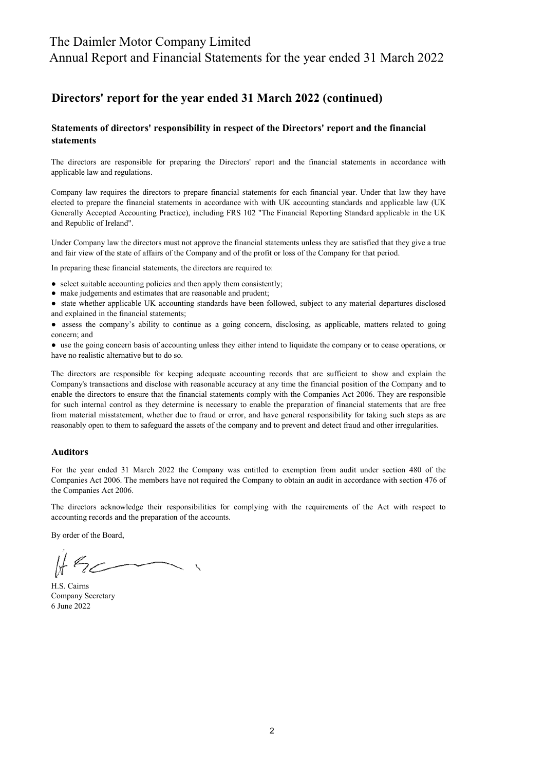### The Daimler Motor Company Limited

Annual Report and Financial Statements for the year ended 31 March 2022

### Directors' report for the year ended 31 March 2022 (continued)

#### Statements of directors' responsibility in respect of the Directors' report and the financial statements

The directors are responsible for preparing the Directors' report and the financial statements in accordance with applicable law and regulations.

Company law requires the directors to prepare financial statements for each financial year. Under that law they have elected to prepare the financial statements in accordance with with UK accounting standards and applicable law (UK Generally Accepted Accounting Practice), including FRS 102 "The Financial Reporting Standard applicable in the UK and Republic of Ireland".

Under Company law the directors must not approve the financial statements unless they are satisfied that they give a true and fair view of the state of affairs of the Company and of the profit or loss of the Company for that period.

In preparing these financial statements, the directors are required to:

- select suitable accounting policies and then apply them consistently;
- make judgements and estimates that are reasonable and prudent;

● state whether applicable UK accounting standards have been followed, subject to any material departures disclosed and explained in the financial statements;

● assess the company's ability to continue as a going concern, disclosing, as applicable, matters related to going concern; and

● use the going concern basis of accounting unless they either intend to liquidate the company or to cease operations, or have no realistic alternative but to do so.

The directors are responsible for keeping adequate accounting records that are sufficient to show and explain the Company's transactions and disclose with reasonable accuracy at any time the financial position of the Company and to enable the directors to ensure that the financial statements comply with the Companies Act 2006. They are responsible for such internal control as they determine is necessary to enable the preparation of financial statements that are free from material misstatement, whether due to fraud or error, and have general responsibility for taking such steps as are reasonably open to them to safeguard the assets of the company and to prevent and detect fraud and other irregularities.

#### Auditors

For the year ended 31 March 2022 the Company was entitled to exemption from audit under section 480 of the Companies Act 2006. The members have not required the Company to obtain an audit in accordance with section 476 of the Companies Act 2006.

The directors acknowledge their responsibilities for complying with the requirements of the Act with respect to accounting records and the preparation of the accounts.

By order of the Board,

H.S. Cairns 6 June 2022 Company Secretary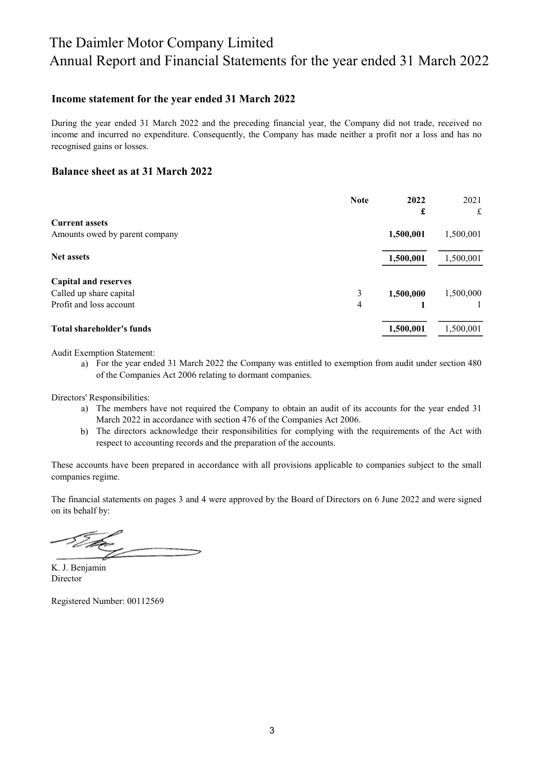#### Income statement for the year ended 31 March 2022

During the year ended 31 March 2022 and the preceding financial year, the Company did not trade, received no income and incurred no expenditure. Consequently, the Company has made neither a profit nor a loss and has no recognised gains or losses.

#### Balance sheet as at 31 March 2022

|                                | <b>Note</b> | 2022      | 2021      |
|--------------------------------|-------------|-----------|-----------|
|                                |             | £         | £         |
| <b>Current assets</b>          |             |           |           |
| Amounts owed by parent company |             | 1,500,001 | 1,500,001 |
| <b>Net assets</b>              |             | 1,500,001 | 1,500,001 |
| <b>Capital and reserves</b>    |             |           |           |
| Called up share capital        | 3           | 1,500,000 | 1,500,000 |
| Profit and loss account        | 4           |           |           |
| Total shareholder's funds      |             | 1,500,001 | 1,500,001 |

Audit Exemption Statement:

a) For the year ended 31 March 2022 the Company was entitled to exemption from audit under section 480 of the Companies Act 2006 relating to dormant companies.

Directors' Responsibilities:

- a) The members have not required the Company to obtain an audit of its accounts for the year ended 31 March 2022 in accordance with section 476 of the Companies Act 2006.
- b) The directors acknowledge their responsibilities for complying with the requirements of the Act with respect to accounting records and the preparation of the accounts.

These accounts have been prepared in accordance with all provisions applicable to companies subject to the small companies regime.

The financial statements on pages 3 and 4 were approved by the Board of Directors on 6 June 2022 and were signed on its behalf by:

Director K. J. Benjamin

Registered Number: 00112569